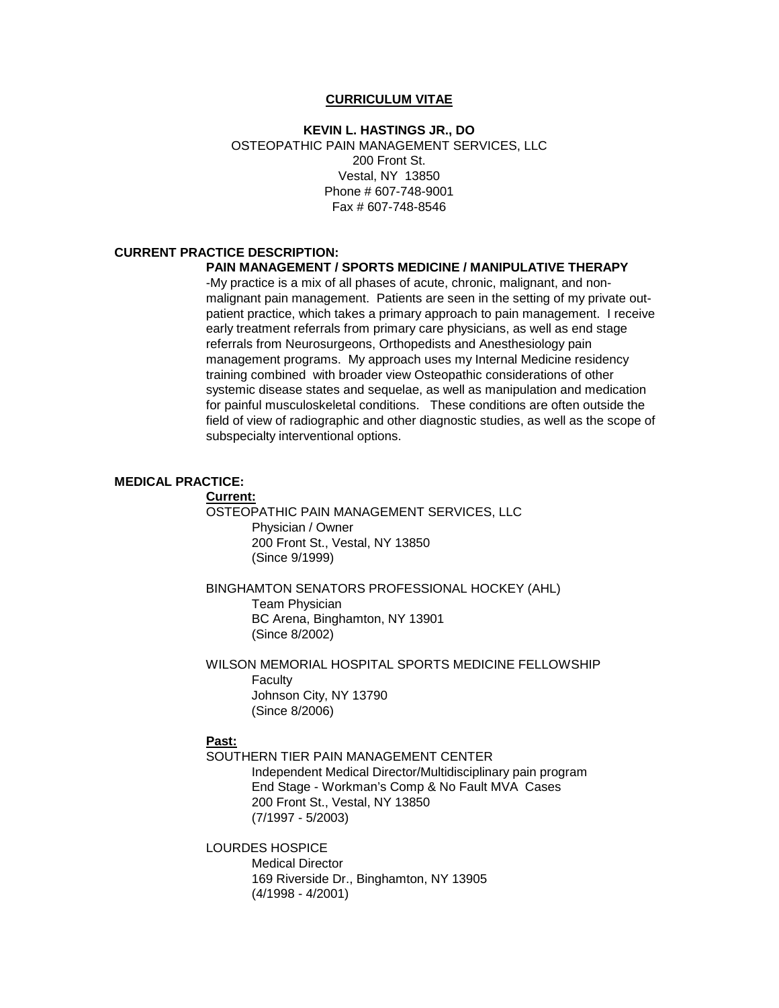#### **CURRICULUM VITAE**

## **KEVIN L. HASTINGS JR., DO** OSTEOPATHIC PAIN MANAGEMENT SERVICES, LLC 200 Front St. Vestal, NY 13850 Phone # 607-748-9001 Fax # 607-748-8546

# **CURRENT PRACTICE DESCRIPTION:**

## **PAIN MANAGEMENT / SPORTS MEDICINE / MANIPULATIVE THERAPY**

-My practice is a mix of all phases of acute, chronic, malignant, and nonmalignant pain management. Patients are seen in the setting of my private outpatient practice, which takes a primary approach to pain management. I receive early treatment referrals from primary care physicians, as well as end stage referrals from Neurosurgeons, Orthopedists and Anesthesiology pain management programs. My approach uses my Internal Medicine residency training combined with broader view Osteopathic considerations of other systemic disease states and sequelae, as well as manipulation and medication for painful musculoskeletal conditions. These conditions are often outside the field of view of radiographic and other diagnostic studies, as well as the scope of subspecialty interventional options.

#### **MEDICAL PRACTICE:**

**Current:**

OSTEOPATHIC PAIN MANAGEMENT SERVICES, LLC Physician / Owner 200 Front St., Vestal, NY 13850 (Since 9/1999)

BINGHAMTON SENATORS PROFESSIONAL HOCKEY (AHL) Team Physician BC Arena, Binghamton, NY 13901 (Since 8/2002)

WILSON MEMORIAL HOSPITAL SPORTS MEDICINE FELLOWSHIP **Faculty** Johnson City, NY 13790 (Since 8/2006)

### **Past:**

SOUTHERN TIER PAIN MANAGEMENT CENTER Independent Medical Director/Multidisciplinary pain program End Stage - Workman's Comp & No Fault MVA Cases 200 Front St., Vestal, NY 13850 (7/1997 - 5/2003)

LOURDES HOSPICE Medical Director 169 Riverside Dr., Binghamton, NY 13905 (4/1998 - 4/2001)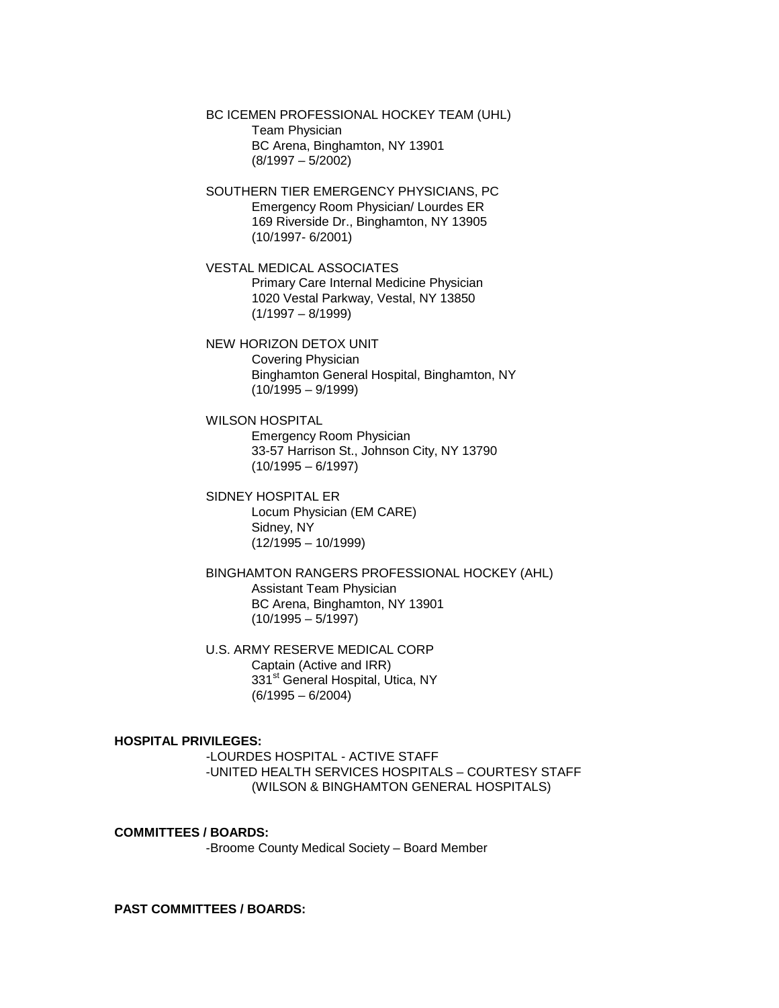BC ICEMEN PROFESSIONAL HOCKEY TEAM (UHL) Team Physician BC Arena, Binghamton, NY 13901 (8/1997 – 5/2002)

SOUTHERN TIER EMERGENCY PHYSICIANS, PC Emergency Room Physician/ Lourdes ER 169 Riverside Dr., Binghamton, NY 13905 (10/1997- 6/2001)

VESTAL MEDICAL ASSOCIATES Primary Care Internal Medicine Physician 1020 Vestal Parkway, Vestal, NY 13850  $(1/1997 - 8/1999)$ 

NEW HORIZON DETOX UNIT Covering Physician Binghamton General Hospital, Binghamton, NY  $(10/1995 - 9/1999)$ 

WILSON HOSPITAL Emergency Room Physician 33-57 Harrison St., Johnson City, NY 13790  $(10/1995 - 6/1997)$ 

SIDNEY HOSPITAL ER Locum Physician (EM CARE) Sidney, NY  $(12/1995 - 10/1999)$ 

BINGHAMTON RANGERS PROFESSIONAL HOCKEY (AHL) Assistant Team Physician BC Arena, Binghamton, NY 13901  $(10/1995 - 5/1997)$ 

U.S. ARMY RESERVE MEDICAL CORP Captain (Active and IRR) 331<sup>st</sup> General Hospital, Utica, NY (6/1995 – 6/2004)

### **HOSPITAL PRIVILEGES:**

-LOURDES HOSPITAL - ACTIVE STAFF -UNITED HEALTH SERVICES HOSPITALS – COURTESY STAFF (WILSON & BINGHAMTON GENERAL HOSPITALS)

**COMMITTEES / BOARDS:** -Broome County Medical Society – Board Member

**PAST COMMITTEES / BOARDS:**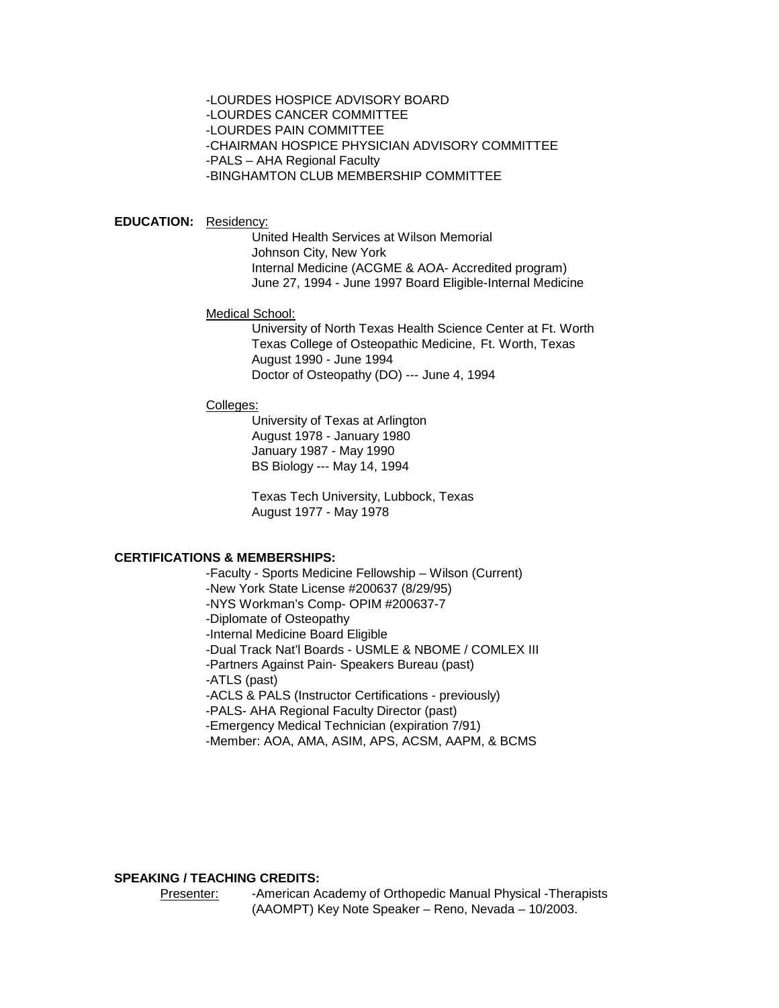-LOURDES HOSPICE ADVISORY BOARD -LOURDES CANCER COMMITTEE -LOURDES PAIN COMMITTEE -CHAIRMAN HOSPICE PHYSICIAN ADVISORY COMMITTEE -PALS – AHA Regional Faculty -BINGHAMTON CLUB MEMBERSHIP COMMITTEE

#### **EDUCATION:** Residency:

United Health Services at Wilson Memorial Johnson City, New York Internal Medicine (ACGME & AOA- Accredited program) June 27, 1994 - June 1997 Board Eligible-Internal Medicine

#### Medical School:

University of North Texas Health Science Center at Ft. Worth Texas College of Osteopathic Medicine, Ft. Worth, Texas August 1990 - June 1994 Doctor of Osteopathy (DO) --- June 4, 1994

### Colleges:

University of Texas at Arlington August 1978 - January 1980 January 1987 - May 1990 BS Biology --- May 14, 1994

Texas Tech University, Lubbock, Texas August 1977 - May 1978

### **CERTIFICATIONS & MEMBERSHIPS:**

-Faculty - Sports Medicine Fellowship – Wilson (Current) -New York State License #200637 (8/29/95) -NYS Workman's Comp- OPIM #200637-7 -Diplomate of Osteopathy -Internal Medicine Board Eligible -Dual Track Nat'l Boards - USMLE & NBOME / COMLEX III -Partners Against Pain- Speakers Bureau (past) -ATLS (past) -ACLS & PALS (Instructor Certifications - previously) -PALS- AHA Regional Faculty Director (past) -Emergency Medical Technician (expiration 7/91) -Member: AOA, AMA, ASIM, APS, ACSM, AAPM, & BCMS

### **SPEAKING / TEACHING CREDITS:**

Presenter: -American Academy of Orthopedic Manual Physical -Therapists (AAOMPT) Key Note Speaker – Reno, Nevada – 10/2003.